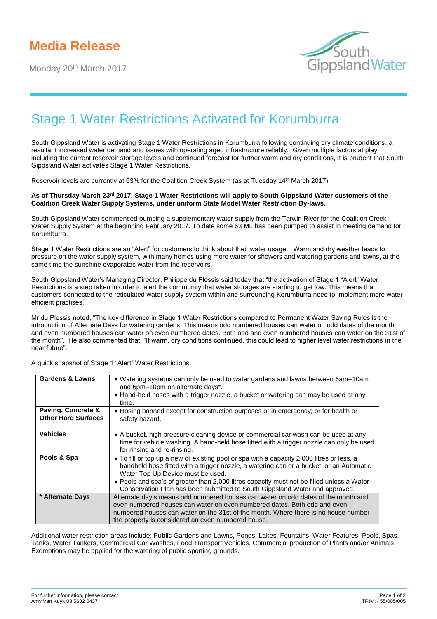Monday 20<sup>th</sup> March 2017



## Stage 1 Water Restrictions Activated for Korumburra

South Gippsland Water is activating Stage 1 Water Restrictions in Korumburra following continuing dry climate conditions, a resultant increased water demand and issues with operating aged infrastructure reliably. Given multiple factors at play, including the current reservoir storage levels and continued forecast for further warm and dry conditions, it is prudent that South Gippsland Water activates Stage 1 Water Restrictions.

Reservoir levels are currently at 63% for the Coalition Creek System (as at Tuesday 14<sup>th</sup> March 2017).

## As of Thursday March 23<sup>rd</sup> 2017, Stage 1 Water Restrictions will apply to South Gippsland Water customers of the **Coalition Creek Water Supply Systems, under uniform State Model Water Restriction By-laws.**

South Gippsland Water commenced pumping a supplementary water supply from the Tarwin River for the Coalition Creek Water Supply System at the beginning February 2017. To date some 63 ML has been pumped to assist in meeting demand for Korumburra.

Stage 1 Water Restrictions are an "Alert" for customers to think about their water usage. Warm and dry weather leads to pressure on the water supply system, with many homes using more water for showers and watering gardens and lawns, at the same time the sunshine evaporates water from the reservoirs.

South Gippsland Water's Managing Director, Philippe du Plessis said today that "the activation of Stage 1 "Alert" Water Restrictions is a step taken in order to alert the community that water storages are starting to get low. This means that customers connected to the reticulated water supply system within and surrounding Korumburra need to implement more water efficient practises.

Mr du Plessis noted, "The key difference in Stage 1 Water Restrictions compared to Permanent Water Saving Rules is the introduction of Alternate Days for watering gardens. This means odd numbered houses can water on odd dates of the month and even numbered houses can water on even numbered dates. Both odd and even numbered houses can water on the 31st of the month". He also commented that, "If warm, dry conditions continued, this could lead to higher level water restrictions in the near future".

| <b>Gardens &amp; Lawns</b> | • Watering systems can only be used to water gardens and lawns between 6am–10am<br>and 6pm-10pm on alternate days*.<br>• Hand-held hoses with a trigger nozzle, a bucket or watering can may be used at any               |
|----------------------------|---------------------------------------------------------------------------------------------------------------------------------------------------------------------------------------------------------------------------|
| Paving, Concrete &         | time.<br>• Hosing banned except for construction purposes or in emergency; or for health or                                                                                                                               |
| <b>Other Hard Surfaces</b> | safety hazard.                                                                                                                                                                                                            |
| <b>Vehicles</b>            | • A bucket, high pressure cleaning device or commercial car wash can be used at any<br>time for vehicle washing. A hand-held hose fitted with a trigger nozzle can only be used<br>for rinsing and re-rinsing.            |
| Pools & Spa                | • To fill or top up a new or existing pool or spa with a capacity 2,000 litres or less, a<br>handheld hose fitted with a trigger nozzle, a watering can or a bucket, or an Automatic<br>Water Top Up Device must be used. |
|                            | . Pools and spa's of greater than 2,000 litres capacity must not be filled unless a Water<br>Conservation Plan has been submitted to South Gippsland Water and approved.                                                  |
| * Alternate Days           | Alternate day's means odd numbered houses can water on odd dates of the month and<br>even numbered houses can water on even numbered dates. Both odd and even                                                             |
|                            | numbered houses can water on the 31st of the month. Where there is no house number<br>the property is considered an even numbered house.                                                                                  |

A quick snapshot of Stage 1 "Alert" Water Restrictions;

Additional water restriction areas include: Public Gardens and Lawns, Ponds, Lakes, Fountains, Water Features, Pools, Spas, Tanks, Water Tankers, Commercial Car Washes, Food Transport Vehicles, Commercial production of Plants and/or Animals. Exemptions may be applied for the watering of public sporting grounds.